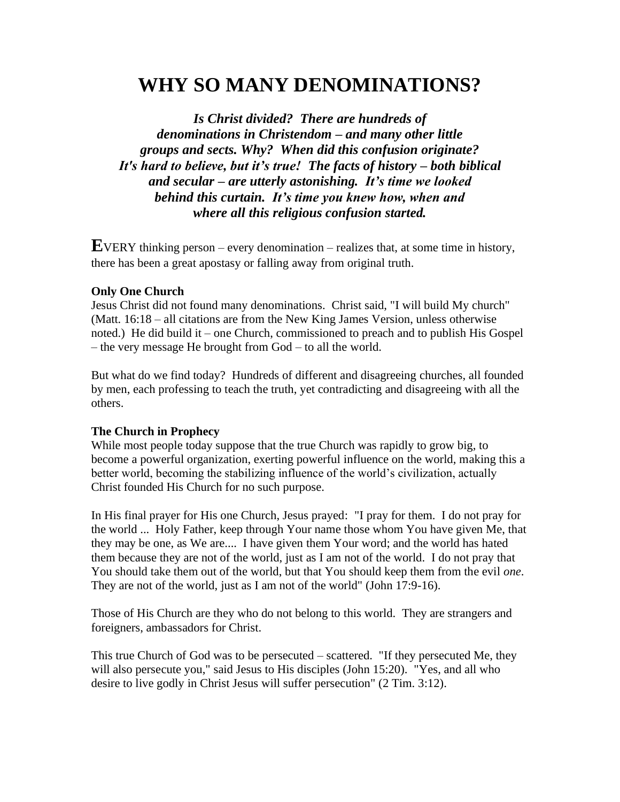# **WHY SO MANY DENOMINATIONS?**

*Is Christ divided? There are hundreds of denominations in Christendom – and many other little groups and sects. Why? When did this confusion originate? It's hard to believe, but it's true! The facts of history – both biblical and secular – are utterly astonishing. It's time we looked behind this curtain. It's time you knew how, when and where all this religious confusion started.*

**E**VERY thinking person – every denomination – realizes that, at some time in history, there has been a great apostasy or falling away from original truth.

#### **Only One Church**

Jesus Christ did not found many denominations. Christ said, "I will build My church" (Matt. 16:18 – all citations are from the New King James Version, unless otherwise noted.) He did build it – one Church, commissioned to preach and to publish His Gospel – the very message He brought from God – to all the world.

But what do we find today? Hundreds of different and disagreeing churches, all founded by men, each professing to teach the truth, yet contradicting and disagreeing with all the others.

#### **The Church in Prophecy**

While most people today suppose that the true Church was rapidly to grow big, to become a powerful organization, exerting powerful influence on the world, making this a better world, becoming the stabilizing influence of the world's civilization, actually Christ founded His Church for no such purpose.

In His final prayer for His one Church, Jesus prayed: "I pray for them. I do not pray for the world ... Holy Father, keep through Your name those whom You have given Me, that they may be one, as We are.... I have given them Your word; and the world has hated them because they are not of the world, just as I am not of the world. I do not pray that You should take them out of the world, but that You should keep them from the evil *one*. They are not of the world, just as I am not of the world" (John 17:9-16).

Those of His Church are they who do not belong to this world. They are strangers and foreigners, ambassadors for Christ.

This true Church of God was to be persecuted – scattered. "If they persecuted Me, they will also persecute you," said Jesus to His disciples (John 15:20). "Yes, and all who desire to live godly in Christ Jesus will suffer persecution" (2 Tim. 3:12).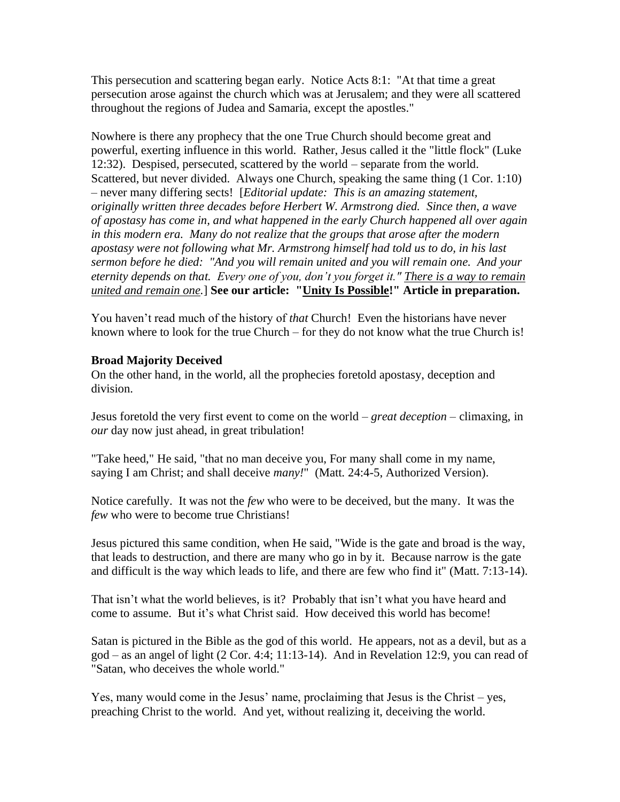This persecution and scattering began early. Notice Acts 8:1: "At that time a great persecution arose against the church which was at Jerusalem; and they were all scattered throughout the regions of Judea and Samaria, except the apostles."

Nowhere is there any prophecy that the one True Church should become great and powerful, exerting influence in this world. Rather, Jesus called it the "little flock" (Luke 12:32). Despised, persecuted, scattered by the world – separate from the world. Scattered, but never divided. Always one Church, speaking the same thing (1 Cor. 1:10) – never many differing sects! [*Editorial update: This is an amazing statement, originally written three decades before Herbert W. Armstrong died. Since then, a wave of apostasy has come in, and what happened in the early Church happened all over again in this modern era. Many do not realize that the groups that arose after the modern apostasy were not following what Mr. Armstrong himself had told us to do, in his last sermon before he died: "And you will remain united and you will remain one. And your eternity depends on that. Every one of you, don't you forget it." There is a way to remain united and remain one.*] **See our article: "Unity Is Possible!" Article in preparation.** 

You haven't read much of the history of *that* Church! Even the historians have never known where to look for the true Church – for they do not know what the true Church is!

### **Broad Majority Deceived**

On the other hand, in the world, all the prophecies foretold apostasy, deception and division.

Jesus foretold the very first event to come on the world – *great deception* – climaxing, in *our* day now just ahead, in great tribulation!

"Take heed," He said, "that no man deceive you, For many shall come in my name, saying I am Christ; and shall deceive *many!*" (Matt. 24:4-5, Authorized Version).

Notice carefully. It was not the *few* who were to be deceived, but the many. It was the *few* who were to become true Christians!

Jesus pictured this same condition, when He said, "Wide is the gate and broad is the way, that leads to destruction, and there are many who go in by it. Because narrow is the gate and difficult is the way which leads to life, and there are few who find it" (Matt. 7:13-14).

That isn't what the world believes, is it? Probably that isn't what you have heard and come to assume. But it's what Christ said. How deceived this world has become!

Satan is pictured in the Bible as the god of this world. He appears, not as a devil, but as a god – as an angel of light (2 Cor. 4:4; 11:13-14). And in Revelation 12:9, you can read of "Satan, who deceives the whole world."

Yes, many would come in the Jesus' name, proclaiming that Jesus is the Christ – yes, preaching Christ to the world. And yet, without realizing it, deceiving the world.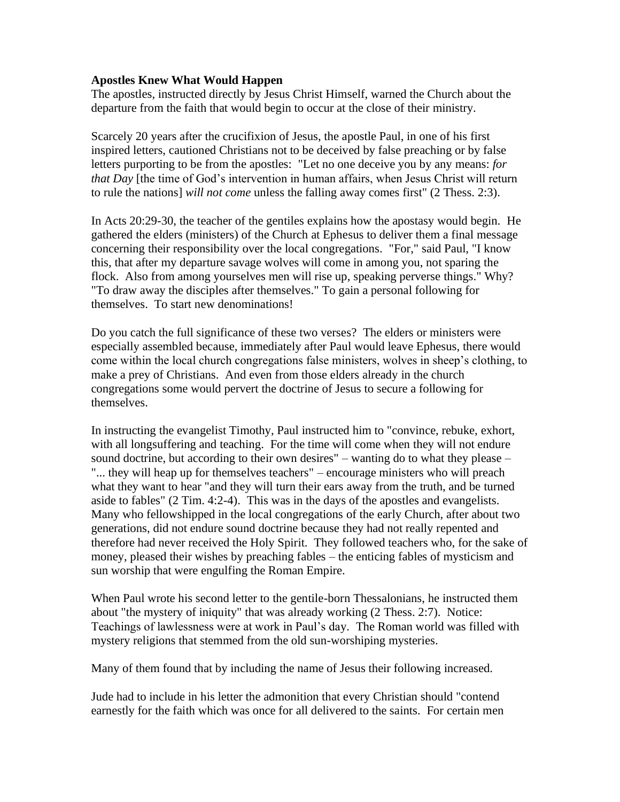#### **Apostles Knew What Would Happen**

The apostles, instructed directly by Jesus Christ Himself, warned the Church about the departure from the faith that would begin to occur at the close of their ministry.

Scarcely 20 years after the crucifixion of Jesus, the apostle Paul, in one of his first inspired letters, cautioned Christians not to be deceived by false preaching or by false letters purporting to be from the apostles: "Let no one deceive you by any means: *for that Day* [the time of God's intervention in human affairs, when Jesus Christ will return to rule the nations] *will not come* unless the falling away comes first" (2 Thess. 2:3).

In Acts 20:29-30, the teacher of the gentiles explains how the apostasy would begin. He gathered the elders (ministers) of the Church at Ephesus to deliver them a final message concerning their responsibility over the local congregations. "For," said Paul, "I know this, that after my departure savage wolves will come in among you, not sparing the flock. Also from among yourselves men will rise up, speaking perverse things." Why? "To draw away the disciples after themselves." To gain a personal following for themselves. To start new denominations!

Do you catch the full significance of these two verses? The elders or ministers were especially assembled because, immediately after Paul would leave Ephesus, there would come within the local church congregations false ministers, wolves in sheep's clothing, to make a prey of Christians. And even from those elders already in the church congregations some would pervert the doctrine of Jesus to secure a following for themselves.

In instructing the evangelist Timothy, Paul instructed him to "convince, rebuke, exhort, with all longsuffering and teaching. For the time will come when they will not endure sound doctrine, but according to their own desires" – wanting do to what they please – "... they will heap up for themselves teachers" – encourage ministers who will preach what they want to hear "and they will turn their ears away from the truth, and be turned aside to fables" (2 Tim. 4:2-4). This was in the days of the apostles and evangelists. Many who fellowshipped in the local congregations of the early Church, after about two generations, did not endure sound doctrine because they had not really repented and therefore had never received the Holy Spirit. They followed teachers who, for the sake of money, pleased their wishes by preaching fables – the enticing fables of mysticism and sun worship that were engulfing the Roman Empire.

When Paul wrote his second letter to the gentile-born Thessalonians, he instructed them about "the mystery of iniquity" that was already working (2 Thess. 2:7). Notice: Teachings of lawlessness were at work in Paul's day. The Roman world was filled with mystery religions that stemmed from the old sun-worshiping mysteries.

Many of them found that by including the name of Jesus their following increased.

Jude had to include in his letter the admonition that every Christian should "contend earnestly for the faith which was once for all delivered to the saints. For certain men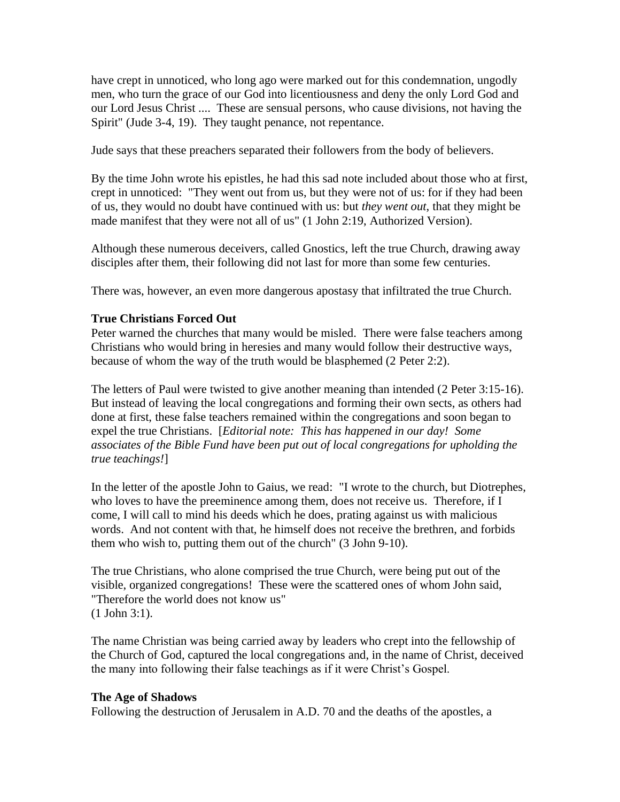have crept in unnoticed, who long ago were marked out for this condemnation, ungodly men, who turn the grace of our God into licentiousness and deny the only Lord God and our Lord Jesus Christ .... These are sensual persons, who cause divisions, not having the Spirit" (Jude 3-4, 19). They taught penance, not repentance.

Jude says that these preachers separated their followers from the body of believers.

By the time John wrote his epistles, he had this sad note included about those who at first, crept in unnoticed: "They went out from us, but they were not of us: for if they had been of us, they would no doubt have continued with us: but *they went out*, that they might be made manifest that they were not all of us" (1 John 2:19, Authorized Version).

Although these numerous deceivers, called Gnostics, left the true Church, drawing away disciples after them, their following did not last for more than some few centuries.

There was, however, an even more dangerous apostasy that infiltrated the true Church.

### **True Christians Forced Out**

Peter warned the churches that many would be misled. There were false teachers among Christians who would bring in heresies and many would follow their destructive ways, because of whom the way of the truth would be blasphemed (2 Peter 2:2).

The letters of Paul were twisted to give another meaning than intended (2 Peter 3:15-16). But instead of leaving the local congregations and forming their own sects, as others had done at first, these false teachers remained within the congregations and soon began to expel the true Christians. [*Editorial note: This has happened in our day! Some associates of the Bible Fund have been put out of local congregations for upholding the true teachings!*]

In the letter of the apostle John to Gaius, we read: "I wrote to the church, but Diotrephes, who loves to have the preeminence among them, does not receive us. Therefore, if I come, I will call to mind his deeds which he does, prating against us with malicious words. And not content with that, he himself does not receive the brethren, and forbids them who wish to, putting them out of the church" (3 John 9-10).

The true Christians, who alone comprised the true Church, were being put out of the visible, organized congregations! These were the scattered ones of whom John said, "Therefore the world does not know us" (1 John 3:1).

The name Christian was being carried away by leaders who crept into the fellowship of the Church of God, captured the local congregations and, in the name of Christ, deceived the many into following their false teachings as if it were Christ's Gospel.

### **The Age of Shadows**

Following the destruction of Jerusalem in A.D. 70 and the deaths of the apostles, a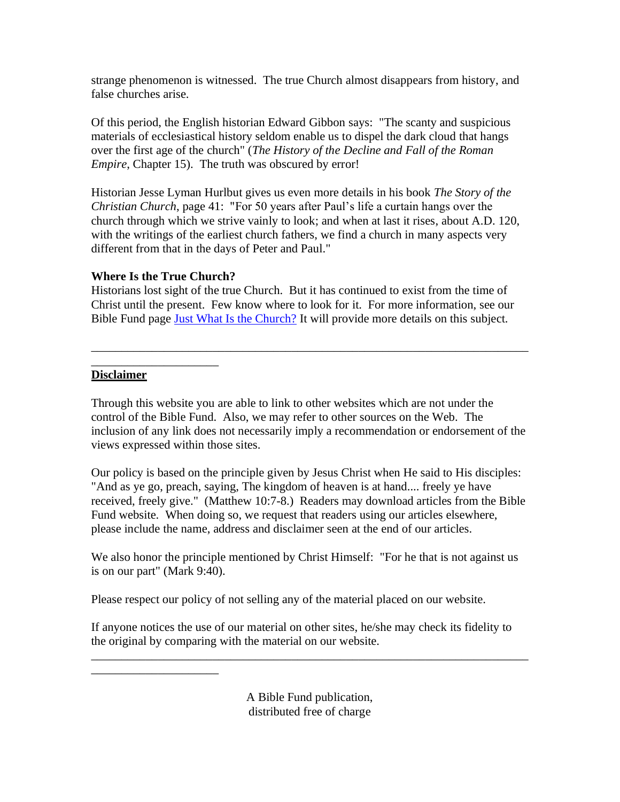strange phenomenon is witnessed. The true Church almost disappears from history, and false churches arise.

Of this period, the English historian Edward Gibbon says: "The scanty and suspicious materials of ecclesiastical history seldom enable us to dispel the dark cloud that hangs over the first age of the church" (*The History of the Decline and Fall of the Roman Empire*, Chapter 15). The truth was obscured by error!

Historian Jesse Lyman Hurlbut gives us even more details in his book *The Story of the Christian Church*, page 41: "For 50 years after Paul's life a curtain hangs over the church through which we strive vainly to look; and when at last it rises, about A.D. 120, with the writings of the earliest church fathers, we find a church in many aspects very different from that in the days of Peter and Paul."

## **Where Is the True Church?**

\_\_\_\_\_\_\_\_\_\_\_\_\_\_\_\_\_\_\_\_\_

Historians lost sight of the true Church. But it has continued to exist from the time of Christ until the present. Few know where to look for it. For more information, see our Bible Fund page [Just What Is the Church?](http://www.biblefund.org/just_what_is_the_church.htm) It will provide more details on this subject.

\_\_\_\_\_\_\_\_\_\_\_\_\_\_\_\_\_\_\_\_\_\_\_\_\_\_\_\_\_\_\_\_\_\_\_\_\_\_\_\_\_\_\_\_\_\_\_\_\_\_\_\_\_\_\_\_\_\_\_\_\_\_\_\_\_\_\_\_\_\_\_\_

## \_\_\_\_\_\_\_\_\_\_\_\_\_\_\_\_\_\_\_\_\_ **Disclaimer**

Through this website you are able to link to other websites which are not under the control of the Bible Fund. Also, we may refer to other sources on the Web. The inclusion of any link does not necessarily imply a recommendation or endorsement of the views expressed within those sites.

Our policy is based on the principle given by Jesus Christ when He said to His disciples: "And as ye go, preach, saying, The kingdom of heaven is at hand.... freely ye have received, freely give." (Matthew 10:7-8.) Readers may download articles from the Bible Fund website. When doing so, we request that readers using our articles elsewhere, please include the name, address and disclaimer seen at the end of our articles.

We also honor the principle mentioned by Christ Himself: "For he that is not against us is on our part" (Mark 9:40).

Please respect our policy of not selling any of the material placed on our website.

If anyone notices the use of our material on other sites, he/she may check its fidelity to the original by comparing with the material on our website.

\_\_\_\_\_\_\_\_\_\_\_\_\_\_\_\_\_\_\_\_\_\_\_\_\_\_\_\_\_\_\_\_\_\_\_\_\_\_\_\_\_\_\_\_\_\_\_\_\_\_\_\_\_\_\_\_\_\_\_\_\_\_\_\_\_\_\_\_\_\_\_\_